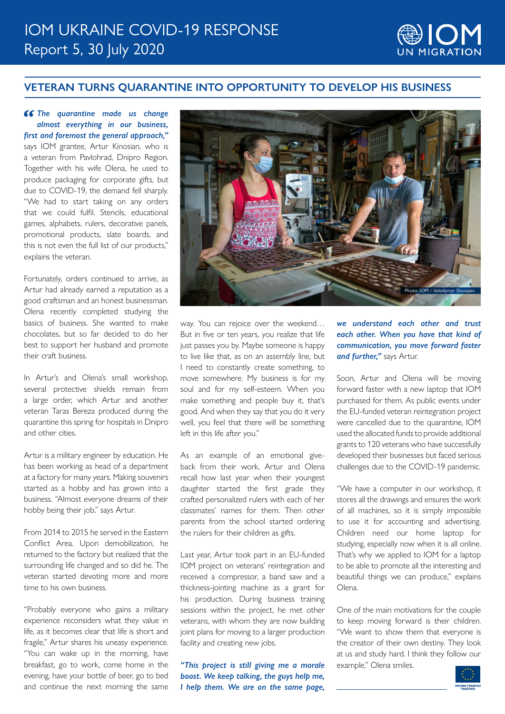

## **VETERAN TURNS QUARANTINE INTO OPPORTUNITY TO DEVELOP HIS BUSINESS**

**66 The quarantine made us change** *almost everything in our business, first and foremost the general approach,"* says IOM grantee, Artur Kinosian, who is a veteran from Pavlohrad, Dnipro Region. Together with his wife Olena, he used to produce packaging for corporate gifts, but due to COVID-19, the demand fell sharply. "We had to start taking on any orders that we could fulfil. Stencils, educational games, alphabets, rulers, decorative panels, promotional products, slate boards, and this is not even the full list of our products," explains the veteran.

Fortunately, orders continued to arrive, as Artur had already earned a reputation as a good craftsman and an honest businessman. Olena recently completed studying the basics of business. She wanted to make chocolates, but so far decided to do her best to support her husband and promote their craft business.

In Artur's and Olena's small workshop, several protective shields remain from a large order, which Artur and another veteran Taras Bereza produced during the quarantine this spring for hospitals in Dnipro and other cities.

Artur is a military engineer by education. He has been working as head of a department at a factory for many years. Making souvenirs started as a hobby and has grown into a business. "Almost everyone dreams of their hobby being their job," says Artur.

From 2014 to 2015 he served in the Eastern Conflict Area. Upon demobilization, he returned to the factory but realized that the surrounding life changed and so did he. The veteran started devoting more and more time to his own business.

"Probably everyone who gains a military experience reconsiders what they value in life, as it becomes clear that life is short and fragile," Artur shares his uneasy experience. "You can wake up in the morning, have breakfast, go to work, come home in the evening, have your bottle of beer, go to bed and continue the next morning the same



way. You can rejoice over the weekend… But in five or ten years, you realize that life just passes you by. Maybe someone is happy to live like that, as on an assembly line, but I need to constantly create something, to move somewhere. My business is for my soul and for my self-esteem. When you make something and people buy it, that's good. And when they say that you do it very well, you feel that there will be something left in this life after you."

As an example of an emotional giveback from their work, Artur and Olena recall how last year when their youngest daughter started the first grade they crafted personalized rulers with each of her classmates' names for them. Then other parents from the school started ordering the rulers for their children as gifts.

Last year, Artur took part in an EU-funded IOM project on veterans' reintegration and received a compressor, a band saw and a thickness-jointing machine as a grant for his production. During business training sessions within the project, he met other veterans, with whom they are now building joint plans for moving to a larger production facility and creating new jobs.

*"This project is still giving me a morale boost. We keep talking, the guys help me, I help them. We are on the same page,* 

## *we understand each other and trust each other. When you have that kind of communication, you move forward faster and further,"* says Artur.

Soon, Artur and Olena will be moving forward faster with a new laptop that IOM purchased for them. As public events under the EU-funded veteran reintegration project were cancelled due to the quarantine, IOM used the allocated funds to provide additional grants to 120 veterans who have successfully developed their businesses but faced serious challenges due to the COVID-19 pandemic.

"We have a computer in our workshop, it stores all the drawings and ensures the work of all machines, so it is simply impossible to use it for accounting and advertising. Children need our home laptop for studying, especially now when it is all online. That's why we applied to IOM for a laptop to be able to promote all the interesting and beautiful things we can produce," explains Olena.

One of the main motivations for the couple to keep moving forward is their children. "We want to show them that everyone is the creator of their own destiny. They look at us and study hard. I think they follow our example," Olena smiles.